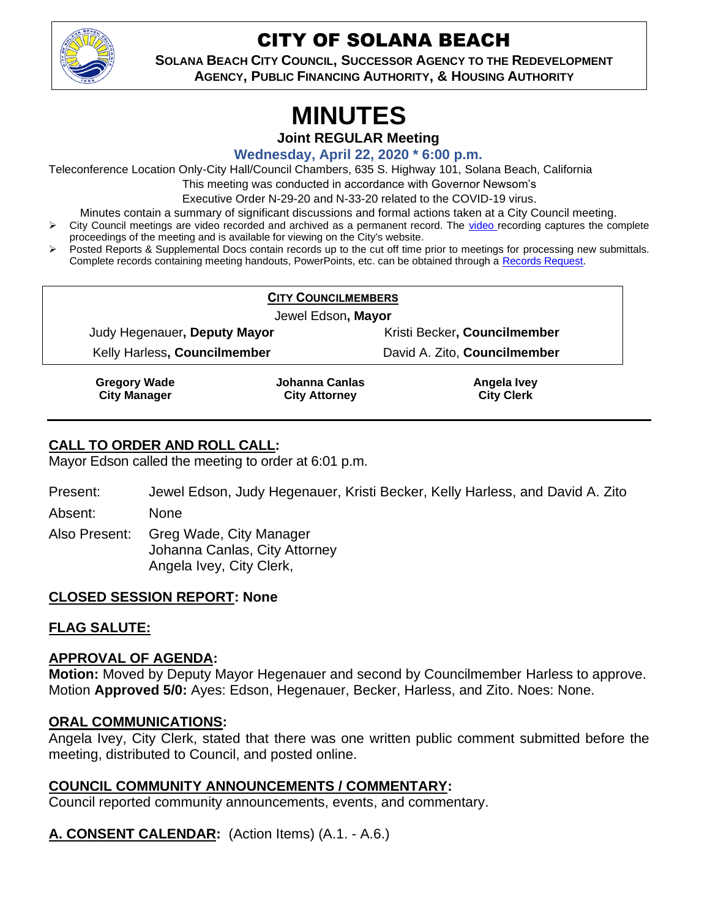

## CITY OF SOLANA BEACH

**SOLANA BEACH CITY COUNCIL, SUCCESSOR AGENCY TO THE REDEVELOPMENT AGENCY, PUBLIC FINANCING AUTHORITY, & HOUSING AUTHORITY**

# **MINUTES**

**Joint REGULAR Meeting**

**Wednesday, April 22, 2020 \* 6:00 p.m.**

Teleconference Location Only-City Hall/Council Chambers, 635 S. Highway 101, Solana Beach, California

This meeting was conducted in accordance with Governor Newsom's

Executive Order N-29-20 and N-33-20 related to the COVID-19 virus.

Minutes contain a summary of significant discussions and formal actions taken at a City Council meeting.

- ➢ City Council meetings are video recorded and archived as a permanent record. The [video r](https://solanabeach.12milesout.com/#page=1)ecording captures the complete proceedings of the meeting and is available for viewing on the City's website.
- ➢ Posted Reports & Supplemental Docs contain records up to the cut off time prior to meetings for processing new submittals. Complete records containing meeting handouts, PowerPoints, etc. can be obtained through a [Records Request.](http://www.ci.solana-beach.ca.us/index.asp?SEC=F5D45D10-70CE-4291-A27C-7BD633FC6742&Type=B_BASIC)

| <b>CITY COUNCILMEMBERS</b>                 |                                               |                                  |
|--------------------------------------------|-----------------------------------------------|----------------------------------|
| Jewel Edson, Mayor                         |                                               |                                  |
| Judy Hegenauer, Deputy Mayor               |                                               | Kristi Becker, Councilmember     |
| Kelly Harless, Councilmember               |                                               | David A. Zito, Councilmember     |
| <b>Gregory Wade</b><br><b>City Manager</b> | <b>Johanna Canlas</b><br><b>City Attorney</b> | Angela Ivey<br><b>City Clerk</b> |

## **CALL TO ORDER AND ROLL CALL:**

Mayor Edson called the meeting to order at 6:01 p.m.

- Present: Jewel Edson, Judy Hegenauer, Kristi Becker, Kelly Harless, and David A. Zito
- Absent: None
- Also Present: Greg Wade, City Manager Johanna Canlas, City Attorney Angela Ivey, City Clerk,

## **CLOSED SESSION REPORT: None**

## **FLAG SALUTE:**

## **APPROVAL OF AGENDA:**

**Motion:** Moved by Deputy Mayor Hegenauer and second by Councilmember Harless to approve. Motion **Approved 5/0:** Ayes: Edson, Hegenauer, Becker, Harless, and Zito. Noes: None.

## **ORAL COMMUNICATIONS:**

Angela Ivey, City Clerk, stated that there was one written public comment submitted before the meeting, distributed to Council, and posted online.

## **COUNCIL COMMUNITY ANNOUNCEMENTS / COMMENTARY:**

Council reported community announcements, events, and commentary.

## **A. CONSENT CALENDAR:** (Action Items) (A.1. - A.6.)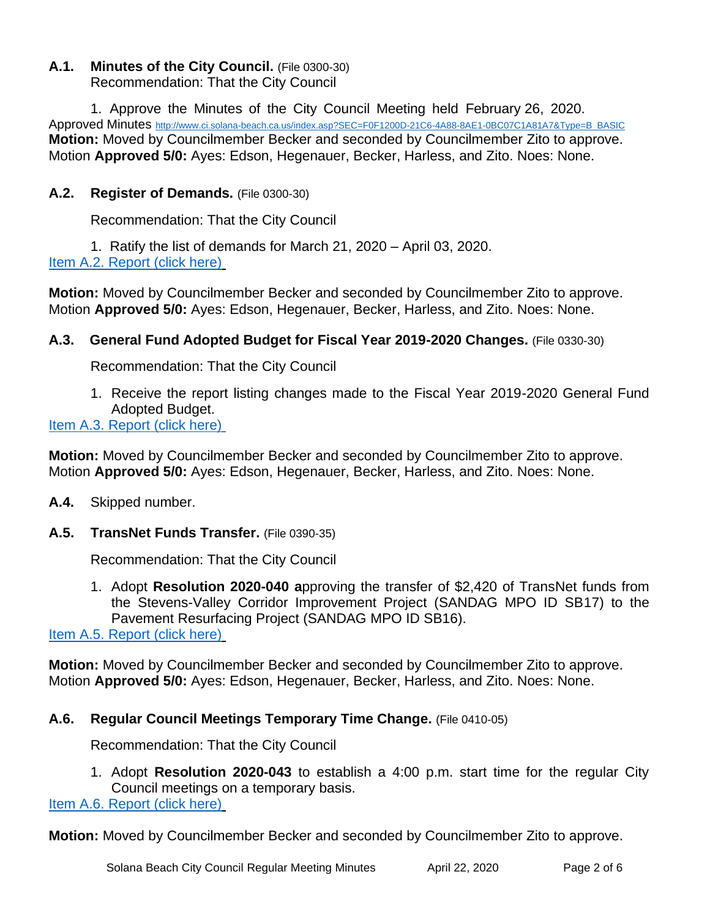#### **A.1. Minutes of the City Council.** (File 0300-30) Recommendation: That the City Council

1. Approve the Minutes of the City Council Meeting held February 26, 2020. Approved Minutes [http://www.ci.solana-beach.ca.us/index.asp?SEC=F0F1200D-21C6-4A88-8AE1-0BC07C1A81A7&Type=B\\_BASIC](http://www.ci.solana-beach.ca.us/index.asp?SEC=F0F1200D-21C6-4A88-8AE1-0BC07C1A81A7&Type=B_BASIC) **Motion:** Moved by Councilmember Becker and seconded by Councilmember Zito to approve. Motion **Approved 5/0:** Ayes: Edson, Hegenauer, Becker, Harless, and Zito. Noes: None.

#### **A.2. Register of Demands.** (File 0300-30)

Recommendation: That the City Council

1. Ratify the list of demands for March 21, 2020 – April 03, 2020. [Item A.2. Report \(click here\)](https://solanabeach.govoffice3.com/vertical/Sites/%7B840804C2-F869-4904-9AE3-720581350CE7%7D/uploads/Item_A.2._Report_(click_here)_04-22-20_-_O.pdf)

**Motion:** Moved by Councilmember Becker and seconded by Councilmember Zito to approve. Motion **Approved 5/0:** Ayes: Edson, Hegenauer, Becker, Harless, and Zito. Noes: None.

#### **A.3. General Fund Adopted Budget for Fiscal Year 2019-2020 Changes.** (File 0330-30)

Recommendation: That the City Council

1. Receive the report listing changes made to the Fiscal Year 2019-2020 General Fund Adopted Budget[.](https://solanabeach.govoffice3.com/vertical/Sites/%7B840804C2-F869-4904-9AE3-720581350CE7%7D/uploads/Item_A.3._Report_(click_here)_04-22-20_-_O.pdf)

#### [Item A.3. Report \(click here\)](https://solanabeach.govoffice3.com/vertical/Sites/%7B840804C2-F869-4904-9AE3-720581350CE7%7D/uploads/Item_A.3._Report_(click_here)_04-22-20_-_O.pdf)

**Motion:** Moved by Councilmember Becker and seconded by Councilmember Zito to approve. Motion **Approved 5/0:** Ayes: Edson, Hegenauer, Becker, Harless, and Zito. Noes: None.

- **A.4.** Skipped number.
- **A.5. TransNet Funds Transfer.** (File 0390-35)

Recommendation: That the City Council

1. Adopt **Resolution 2020-040 a**pproving the transfer of \$2,420 of TransNet funds from the Stevens-Valley Corridor Improvement Project (SANDAG MPO ID SB17) to the Pavement Resurfacing Project (SANDAG MPO ID SB16).

[Item A.5. Report \(click here\)](https://solanabeach.govoffice3.com/vertical/Sites/%7B840804C2-F869-4904-9AE3-720581350CE7%7D/uploads/Item_A.5._Report_(click_here)_04-22-20_-_O.pdf)

**Motion:** Moved by Councilmember Becker and seconded by Councilmember Zito to approve. Motion **Approved 5/0:** Ayes: Edson, Hegenauer, Becker, Harless, and Zito. Noes: None.

#### **A.6. Regular Council Meetings Temporary Time Change.** (File 0410-05)

Recommendation: That the City Council

1. Adopt **Resolution 2020-043** to establish a 4:00 p.m. start time for the regular City Council meetings on a temporary basis.

[Item A.6. Report \(click here\)](https://solanabeach.govoffice3.com/vertical/Sites/%7B840804C2-F869-4904-9AE3-720581350CE7%7D/uploads/Item_A.6._Report_(click_here)_04-22-20_-_O.pdf)

**Motion:** Moved by Councilmember Becker and seconded by Councilmember Zito to approve.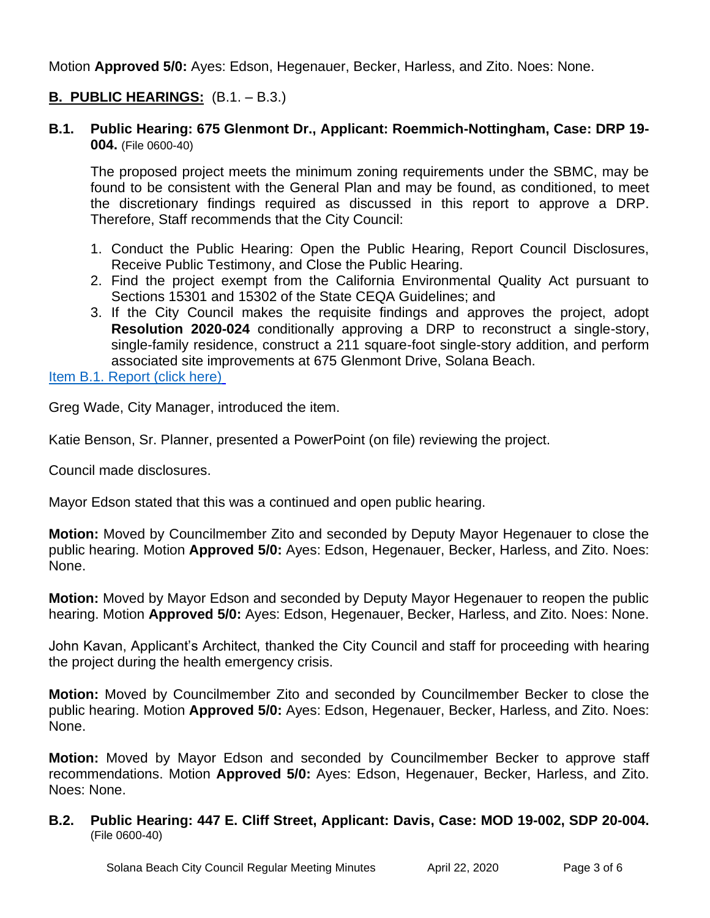Motion **Approved 5/0:** Ayes: Edson, Hegenauer, Becker, Harless, and Zito. Noes: None.

#### **B. PUBLIC HEARINGS:** (B.1. – B.3.)

#### **B.1. Public Hearing: 675 Glenmont Dr., Applicant: Roemmich-Nottingham, Case: DRP 19- 004.** (File 0600-40)

The proposed project meets the minimum zoning requirements under the SBMC, may be found to be consistent with the General Plan and may be found, as conditioned, to meet the discretionary findings required as discussed in this report to approve a DRP. Therefore, Staff recommends that the City Council:

- 1. Conduct the Public Hearing: Open the Public Hearing, Report Council Disclosures, Receive Public Testimony, and Close the Public Hearing.
- 2. Find the project exempt from the California Environmental Quality Act pursuant to Sections 15301 and 15302 of the State CEQA Guidelines; and
- 3. If the City Council makes the requisite findings and approves the project, adopt **Resolution 2020-024** conditionally approving a DRP to reconstruct a single-story, single-family residence, construct a 211 square-foot single-story addition, and perform associated site improvements at 675 Glenmont Drive, Solana Beach.

[Item B.1. Report \(click here\)](https://solanabeach.govoffice3.com/vertical/Sites/%7B840804C2-F869-4904-9AE3-720581350CE7%7D/uploads/Item_B.1._Report_(click_here)_04-22-20_-_O.pdf)

Greg Wade, City Manager, introduced the item.

Katie Benson, Sr. Planner, presented a PowerPoint (on file) reviewing the project.

Council made disclosures.

Mayor Edson stated that this was a continued and open public hearing.

**Motion:** Moved by Councilmember Zito and seconded by Deputy Mayor Hegenauer to close the public hearing. Motion **Approved 5/0:** Ayes: Edson, Hegenauer, Becker, Harless, and Zito. Noes: None.

**Motion:** Moved by Mayor Edson and seconded by Deputy Mayor Hegenauer to reopen the public hearing. Motion **Approved 5/0:** Ayes: Edson, Hegenauer, Becker, Harless, and Zito. Noes: None.

John Kavan, Applicant's Architect, thanked the City Council and staff for proceeding with hearing the project during the health emergency crisis.

**Motion:** Moved by Councilmember Zito and seconded by Councilmember Becker to close the public hearing. Motion **Approved 5/0:** Ayes: Edson, Hegenauer, Becker, Harless, and Zito. Noes: None.

**Motion:** Moved by Mayor Edson and seconded by Councilmember Becker to approve staff recommendations. Motion **Approved 5/0:** Ayes: Edson, Hegenauer, Becker, Harless, and Zito. Noes: None.

#### **B.2. Public Hearing: 447 E. Cliff Street, Applicant: Davis, Case: MOD 19-002, SDP 20-004.**  (File 0600-40)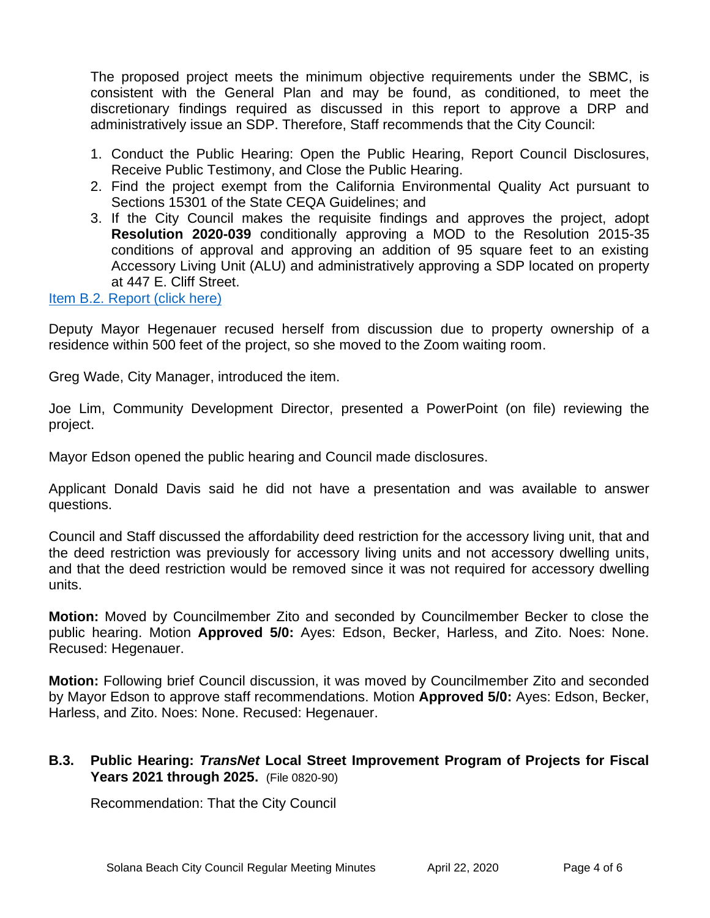The proposed project meets the minimum objective requirements under the SBMC, is consistent with the General Plan and may be found, as conditioned, to meet the discretionary findings required as discussed in this report to approve a DRP and administratively issue an SDP. Therefore, Staff recommends that the City Council:

- 1. Conduct the Public Hearing: Open the Public Hearing, Report Council Disclosures, Receive Public Testimony, and Close the Public Hearing.
- 2. Find the project exempt from the California Environmental Quality Act pursuant to Sections 15301 of the State CEQA Guidelines; and
- 3. If the City Council makes the requisite findings and approves the project, adopt **Resolution 2020-039** conditionally approving a MOD to the Resolution 2015-35 conditions of approval and approving an addition of 95 square feet to an existing Accessory Living Unit (ALU) and administratively approving a SDP located on property at 447 E. Cliff Street.

#### [Item B.2. Report \(click here\)](https://solanabeach.govoffice3.com/vertical/Sites/%7B840804C2-F869-4904-9AE3-720581350CE7%7D/uploads/Item_B.2._Report_(click_here)_04-22-20_-_O.pdf)

Deputy Mayor Hegenauer recused herself from discussion due to property ownership of a residence within 500 feet of the project, so she moved to the Zoom waiting room.

Greg Wade, City Manager, introduced the item.

Joe Lim, Community Development Director, presented a PowerPoint (on file) reviewing the project.

Mayor Edson opened the public hearing and Council made disclosures.

Applicant Donald Davis said he did not have a presentation and was available to answer questions.

Council and Staff discussed the affordability deed restriction for the accessory living unit, that and the deed restriction was previously for accessory living units and not accessory dwelling units, and that the deed restriction would be removed since it was not required for accessory dwelling units.

**Motion:** Moved by Councilmember Zito and seconded by Councilmember Becker to close the public hearing. Motion **Approved 5/0:** Ayes: Edson, Becker, Harless, and Zito. Noes: None. Recused: Hegenauer.

**Motion:** Following brief Council discussion, it was moved by Councilmember Zito and seconded by Mayor Edson to approve staff recommendations. Motion **Approved 5/0:** Ayes: Edson, Becker, Harless, and Zito. Noes: None. Recused: Hegenauer.

#### **B.3. Public Hearing:** *TransNet* **Local Street Improvement Program of Projects for Fiscal Years 2021 through 2025.** (File 0820-90)

Recommendation: That the City Council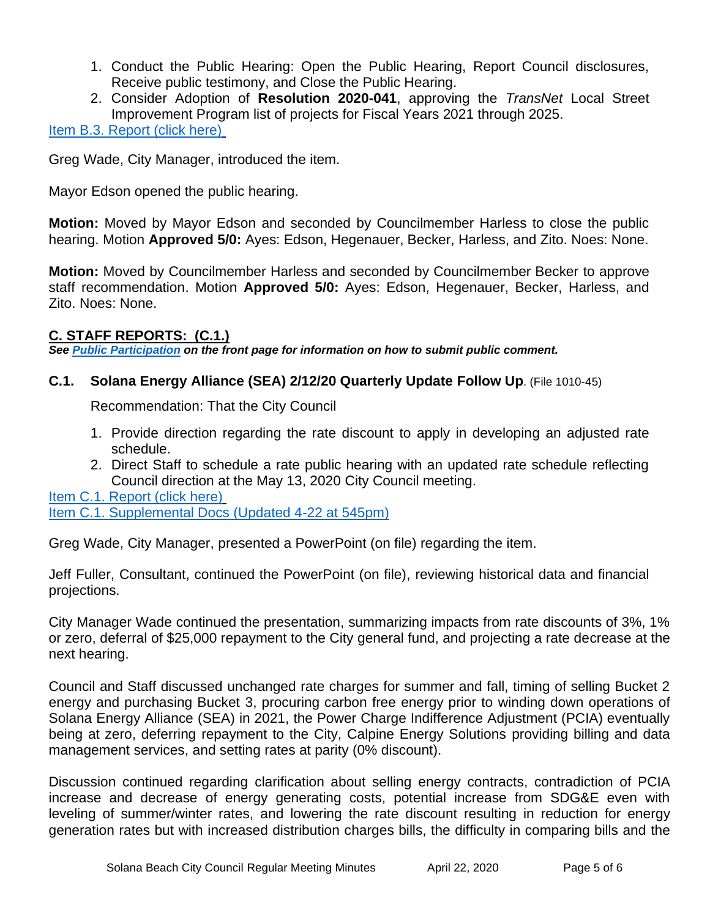- 1. Conduct the Public Hearing: Open the Public Hearing, Report Council disclosures, Receive public testimony, and Close the Public Hearing.
- 2. Consider Adoption of **Resolution 2020-041**, approving the *TransNet* Local Street Improvement Program list of projects for Fiscal Years 2021 through 2025.

#### [Item B.3. Report \(click here\)](https://solanabeach.govoffice3.com/vertical/Sites/%7B840804C2-F869-4904-9AE3-720581350CE7%7D/uploads/Item_B.3._Report_(click_here)_04-22-20_-_O.pdf)

Greg Wade, City Manager, introduced the item.

Mayor Edson opened the public hearing.

**Motion:** Moved by Mayor Edson and seconded by Councilmember Harless to close the public hearing. Motion **Approved 5/0:** Ayes: Edson, Hegenauer, Becker, Harless, and Zito. Noes: None.

**Motion:** Moved by Councilmember Harless and seconded by Councilmember Becker to approve staff recommendation. Motion **Approved 5/0:** Ayes: Edson, Hegenauer, Becker, Harless, and Zito. Noes: None.

#### **C. STAFF REPORTS: (C.1.)**

*See Public Participation on the front page for information on how to submit public comment.* 

**C.1. Solana Energy Alliance (SEA) 2/12/20 Quarterly Update Follow Up**. (File 1010-45)

Recommendation: That the City Council

- 1. Provide direction regarding the rate discount to apply in developing an adjusted rate schedule.
- 2. Direct Staff to schedule a rate public hearing with an updated rate schedule reflecting Council direction at the May 13, 2020 City Council meeting.

[Item C.1. Report \(click here\)](https://solanabeach.govoffice3.com/vertical/Sites/%7B840804C2-F869-4904-9AE3-720581350CE7%7D/uploads/Item_C.1._Report_(click_here)_04-22-20_-_O.pdf) [Item C.1. Supplemental Docs \(Updated 4-22 at 545pm\)](https://solanabeach.govoffice3.com/vertical/Sites/%7B840804C2-F869-4904-9AE3-720581350CE7%7D/uploads/Item_C.1._Supplemental_Docs_(Updated_4-22_545pm)_-_O.pdf)

Greg Wade, City Manager, presented a PowerPoint (on file) regarding the item.

Jeff Fuller, Consultant, continued the PowerPoint (on file), reviewing historical data and financial projections.

City Manager Wade continued the presentation, summarizing impacts from rate discounts of 3%, 1% or zero, deferral of \$25,000 repayment to the City general fund, and projecting a rate decrease at the next hearing.

Council and Staff discussed unchanged rate charges for summer and fall, timing of selling Bucket 2 energy and purchasing Bucket 3, procuring carbon free energy prior to winding down operations of Solana Energy Alliance (SEA) in 2021, the Power Charge Indifference Adjustment (PCIA) eventually being at zero, deferring repayment to the City, Calpine Energy Solutions providing billing and data management services, and setting rates at parity (0% discount).

Discussion continued regarding clarification about selling energy contracts, contradiction of PCIA increase and decrease of energy generating costs, potential increase from SDG&E even with leveling of summer/winter rates, and lowering the rate discount resulting in reduction for energy generation rates but with increased distribution charges bills, the difficulty in comparing bills and the